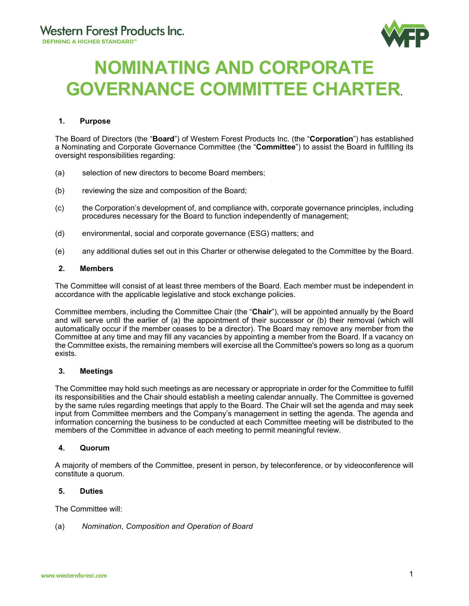

# **NOMINATING AND CORPORATE GOVERNANCE COMMITTEE CHARTER.**

# **1. Purpose**

The Board of Directors (the "**Board**") of Western Forest Products Inc. (the "**Corporation**") has established a Nominating and Corporate Governance Committee (the "**Committee**") to assist the Board in fulfilling its oversight responsibilities regarding:

- (a) selection of new directors to become Board members;
- (b) reviewing the size and composition of the Board;
- (c) the Corporation's development of, and compliance with, corporate governance principles, including procedures necessary for the Board to function independently of management;
- (d) environmental, social and corporate governance (ESG) matters; and
- (e) any additional duties set out in this Charter or otherwise delegated to the Committee by the Board.

# **2. Members**

The Committee will consist of at least three members of the Board. Each member must be independent in accordance with the applicable legislative and stock exchange policies.

Committee members, including the Committee Chair (the "**Chair**"), will be appointed annually by the Board and will serve until the earlier of (a) the appointment of their successor or (b) their removal (which will automatically occur if the member ceases to be a director). The Board may remove any member from the Committee at any time and may fill any vacancies by appointing a member from the Board. If a vacancy on the Committee exists, the remaining members will exercise all the Committee's powers so long as a quorum exists.

# **3. Meetings**

The Committee may hold such meetings as are necessary or appropriate in order for the Committee to fulfill its responsibilities and the Chair should establish a meeting calendar annually. The Committee is governed by the same rules regarding meetings that apply to the Board. The Chair will set the agenda and may seek input from Committee members and the Company's management in setting the agenda. The agenda and information concerning the business to be conducted at each Committee meeting will be distributed to the members of the Committee in advance of each meeting to permit meaningful review.

# **4. Quorum**

A majority of members of the Committee, present in person, by teleconference, or by videoconference will constitute a quorum.

## **5. Duties**

The Committee will:

(a) *Nomination, Composition and Operation of Board*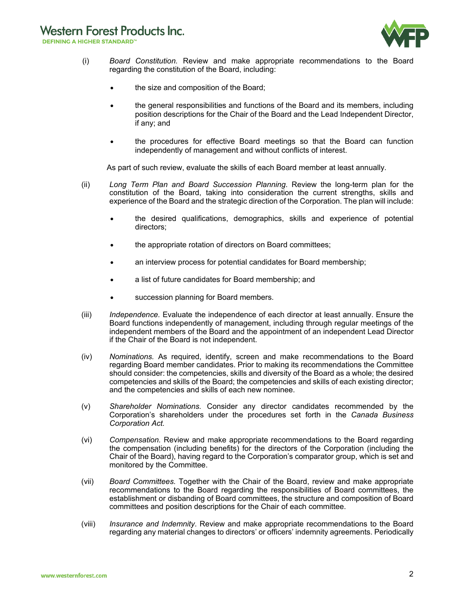# **Western Forest Products Inc.**

**DEFINING A HIGHER STANDARD™** 



- (i) *Board Constitution.* Review and make appropriate recommendations to the Board regarding the constitution of the Board, including:
	- the size and composition of the Board;
	- the general responsibilities and functions of the Board and its members, including position descriptions for the Chair of the Board and the Lead Independent Director, if any; and
	- the procedures for effective Board meetings so that the Board can function independently of management and without conflicts of interest.

As part of such review, evaluate the skills of each Board member at least annually.

- (ii) *Long Term Plan and Board Succession Planning*. Review the long-term plan for the constitution of the Board, taking into consideration the current strengths, skills and experience of the Board and the strategic direction of the Corporation. The plan will include:
	- the desired qualifications, demographics, skills and experience of potential directors;
	- the appropriate rotation of directors on Board committees;
	- an interview process for potential candidates for Board membership;
	- a list of future candidates for Board membership; and
	- succession planning for Board members.
- (iii) *Independence.* Evaluate the independence of each director at least annually. Ensure the Board functions independently of management, including through regular meetings of the independent members of the Board and the appointment of an independent Lead Director if the Chair of the Board is not independent.
- (iv) *Nominations.* As required, identify, screen and make recommendations to the Board regarding Board member candidates. Prior to making its recommendations the Committee should consider: the competencies, skills and diversity of the Board as a whole; the desired competencies and skills of the Board; the competencies and skills of each existing director; and the competencies and skills of each new nominee.
- (v) *Shareholder Nominations.* Consider any director candidates recommended by the Corporation's shareholders under the procedures set forth in the *Canada Business Corporation Act.*
- (vi) *Compensation.* Review and make appropriate recommendations to the Board regarding the compensation (including benefits) for the directors of the Corporation (including the Chair of the Board), having regard to the Corporation's comparator group, which is set and monitored by the Committee.
- (vii) *Board Committees.* Together with the Chair of the Board, review and make appropriate recommendations to the Board regarding the responsibilities of Board committees, the establishment or disbanding of Board committees, the structure and composition of Board committees and position descriptions for the Chair of each committee.
- (viii) *Insurance and Indemnity*. Review and make appropriate recommendations to the Board regarding any material changes to directors' or officers' indemnity agreements. Periodically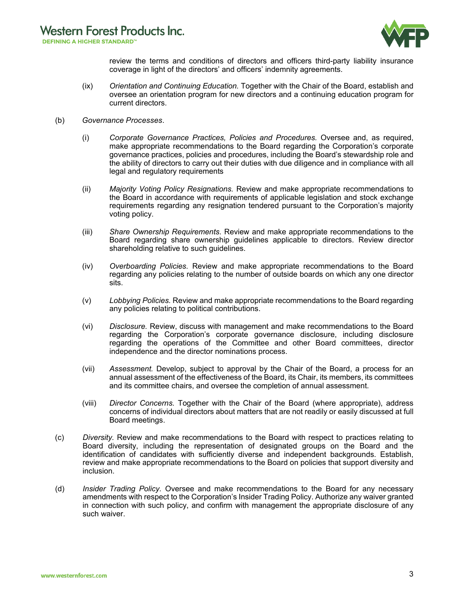

review the terms and conditions of directors and officers third-party liability insurance coverage in light of the directors' and officers' indemnity agreements.

- (ix) *Orientation and Continuing Education.* Together with the Chair of the Board, establish and oversee an orientation program for new directors and a continuing education program for current directors.
- (b) *Governance Processes*.
	- (i) *Corporate Governance Practices, Policies and Procedures.* Oversee and, as required, make appropriate recommendations to the Board regarding the Corporation's corporate governance practices, policies and procedures, including the Board's stewardship role and the ability of directors to carry out their duties with due diligence and in compliance with all legal and regulatory requirements
	- (ii) *Majority Voting Policy Resignations.* Review and make appropriate recommendations to the Board in accordance with requirements of applicable legislation and stock exchange requirements regarding any resignation tendered pursuant to the Corporation's majority voting policy.
	- (iii) *Share Ownership Requirements.* Review and make appropriate recommendations to the Board regarding share ownership guidelines applicable to directors. Review director shareholding relative to such guidelines.
	- (iv) *Overboarding Policies.* Review and make appropriate recommendations to the Board regarding any policies relating to the number of outside boards on which any one director sits.
	- (v) *Lobbying Policies.* Review and make appropriate recommendations to the Board regarding any policies relating to political contributions.
	- (vi) *Disclosure.* Review, discuss with management and make recommendations to the Board regarding the Corporation's corporate governance disclosure, including disclosure regarding the operations of the Committee and other Board committees, director independence and the director nominations process.
	- (vii) *Assessment.* Develop, subject to approval by the Chair of the Board, a process for an annual assessment of the effectiveness of the Board, its Chair, its members, its committees and its committee chairs, and oversee the completion of annual assessment.
	- (viii) *Director Concerns.* Together with the Chair of the Board (where appropriate), address concerns of individual directors about matters that are not readily or easily discussed at full Board meetings.
- (c) *Diversity.* Review and make recommendations to the Board with respect to practices relating to Board diversity, including the representation of designated groups on the Board and the identification of candidates with sufficiently diverse and independent backgrounds. Establish, review and make appropriate recommendations to the Board on policies that support diversity and inclusion.
- (d) *Insider Trading Policy.* Oversee and make recommendations to the Board for any necessary amendments with respect to the Corporation's Insider Trading Policy. Authorize any waiver granted in connection with such policy, and confirm with management the appropriate disclosure of any such waiver.